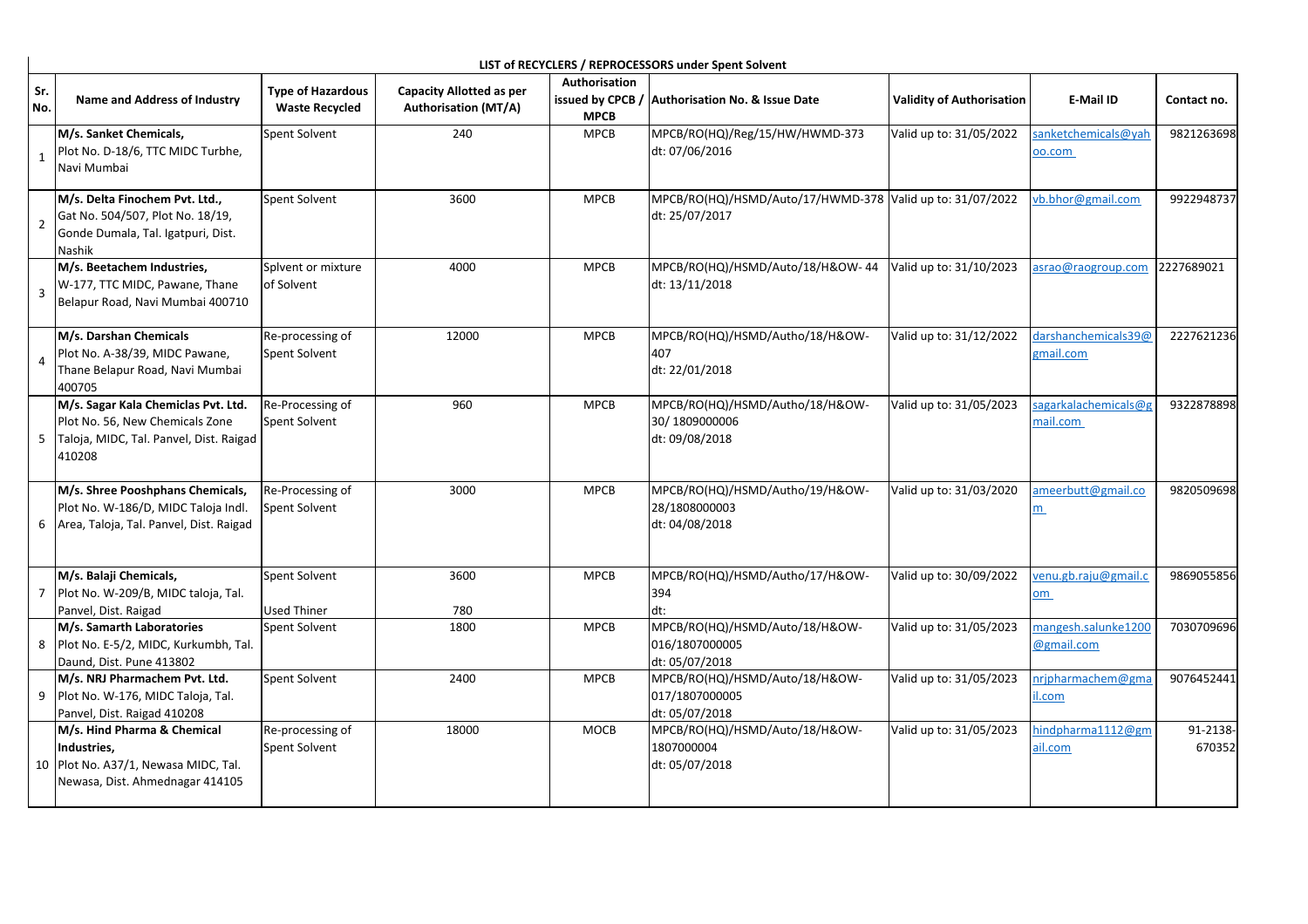| Sr.<br>No.     | <b>Name and Address of Industry</b>                                                                                         | <b>Type of Hazardous</b><br><b>Waste Recycled</b> | <b>Capacity Allotted as per</b><br><b>Authorisation (MT/A)</b> | Authorisation<br>issued by CPCB /<br><b>MPCB</b> | <b>Authorisation No. &amp; Issue Date</b>                                   | <b>Validity of Authorisation</b> | E-Mail ID                         | Contact no.        |
|----------------|-----------------------------------------------------------------------------------------------------------------------------|---------------------------------------------------|----------------------------------------------------------------|--------------------------------------------------|-----------------------------------------------------------------------------|----------------------------------|-----------------------------------|--------------------|
|                | M/s. Sanket Chemicals,<br>Plot No. D-18/6, TTC MIDC Turbhe,<br>Navi Mumbai                                                  | Spent Solvent                                     | 240                                                            | <b>MPCB</b>                                      | MPCB/RO(HQ)/Reg/15/HW/HWMD-373<br>dt: 07/06/2016                            | Valid up to: 31/05/2022          | sanketchemicals@yah<br>o.com      | 9821263698         |
| $\overline{2}$ | M/s. Delta Finochem Pvt. Ltd.,<br>Gat No. 504/507, Plot No. 18/19,<br>Gonde Dumala, Tal. Igatpuri, Dist.<br>Nashik          | Spent Solvent                                     | 3600                                                           | MPCB                                             | MPCB/RO(HQ)/HSMD/Auto/17/HWMD-378 Valid up to: 31/07/2022<br>dt: 25/07/2017 |                                  | vb.bhor@gmail.com                 | 9922948737         |
| 3              | M/s. Beetachem Industries,<br>W-177, TTC MIDC, Pawane, Thane<br>Belapur Road, Navi Mumbai 400710                            | Splvent or mixture<br>of Solvent                  | 4000                                                           | MPCB                                             | MPCB/RO(HQ)/HSMD/Auto/18/H&OW-44 Valid up to: 31/10/2023<br>dt: 13/11/2018  |                                  | asrao@raogroup.com                | 2227689021         |
|                | M/s. Darshan Chemicals<br>Plot No. A-38/39, MIDC Pawane,<br>Thane Belapur Road, Navi Mumbai<br>400705                       | Re-processing of<br>Spent Solvent                 | 12000                                                          | <b>MPCB</b>                                      | MPCB/RO(HQ)/HSMD/Autho/18/H&OW-<br>407<br>dt: 22/01/2018                    | Valid up to: 31/12/2022          | darshanchemicals39@<br>zmail.com  | 2227621236         |
| 5              | M/s. Sagar Kala Chemiclas Pvt. Ltd.<br>Plot No. 56, New Chemicals Zone<br>Taloja, MIDC, Tal. Panvel, Dist. Raigad<br>410208 | Re-Processing of<br>Spent Solvent                 | 960                                                            | MPCB                                             | MPCB/RO(HQ)/HSMD/Autho/18/H&OW-<br>30/1809000006<br>dt: 09/08/2018          | Valid up to: 31/05/2023          | sagarkalachemicals@g<br>mail.com  | 9322878898         |
| 6              | M/s. Shree Pooshphans Chemicals,<br>Plot No. W-186/D, MIDC Taloja Indl.<br>Area, Taloja, Tal. Panvel, Dist. Raigad          | Re-Processing of<br>Spent Solvent                 | 3000                                                           | <b>MPCB</b>                                      | MPCB/RO(HQ)/HSMD/Autho/19/H&OW-<br>28/1808000003<br>dt: 04/08/2018          | Valid up to: 31/03/2020          | ameerbutt@gmail.co<br>m           | 9820509698         |
|                | M/s. Balaji Chemicals,<br>7   Plot No. W-209/B, MIDC taloja, Tal.<br>Panvel, Dist. Raigad                                   | Spent Solvent<br><b>Used Thiner</b>               | 3600<br>780                                                    | <b>MPCB</b>                                      | MPCB/RO(HQ)/HSMD/Autho/17/H&OW-<br>394<br>dt:                               | Valid up to: 30/09/2022          | venu.gb.raju@gmail.c<br>om        | 9869055856         |
|                | M/s. Samarth Laboratories<br>8 Plot No. E-5/2, MIDC, Kurkumbh, Tal.<br>Daund, Dist. Pune 413802                             | Spent Solvent                                     | 1800                                                           | <b>MPCB</b>                                      | MPCB/RO(HQ)/HSMD/Auto/18/H&OW-<br>016/1807000005<br>dt: 05/07/2018          | Valid up to: 31/05/2023          | mangesh.salunke1200<br>@gmail.com | 7030709696         |
| 9              | M/s. NRJ Pharmachem Pvt. Ltd.<br>Plot No. W-176, MIDC Taloja, Tal.<br>Panvel, Dist. Raigad 410208                           | Spent Solvent                                     | 2400                                                           | <b>MPCB</b>                                      | MPCB/RO(HQ)/HSMD/Auto/18/H&OW-<br>017/1807000005<br>dt: 05/07/2018          | Valid up to: 31/05/2023          | nrjpharmachem@gma<br>I.com        | 9076452441         |
|                | M/s. Hind Pharma & Chemical<br>Industries,<br>10 Plot No. A37/1, Newasa MIDC, Tal.<br>Newasa, Dist. Ahmednagar 414105       | Re-processing of<br>Spent Solvent                 | 18000                                                          | MOCB                                             | MPCB/RO(HQ)/HSMD/Auto/18/H&OW-<br>1807000004<br>dt: 05/07/2018              | Valid up to: 31/05/2023          | nindpharma1112@gm<br>ail.com      | 91-2138-<br>670352 |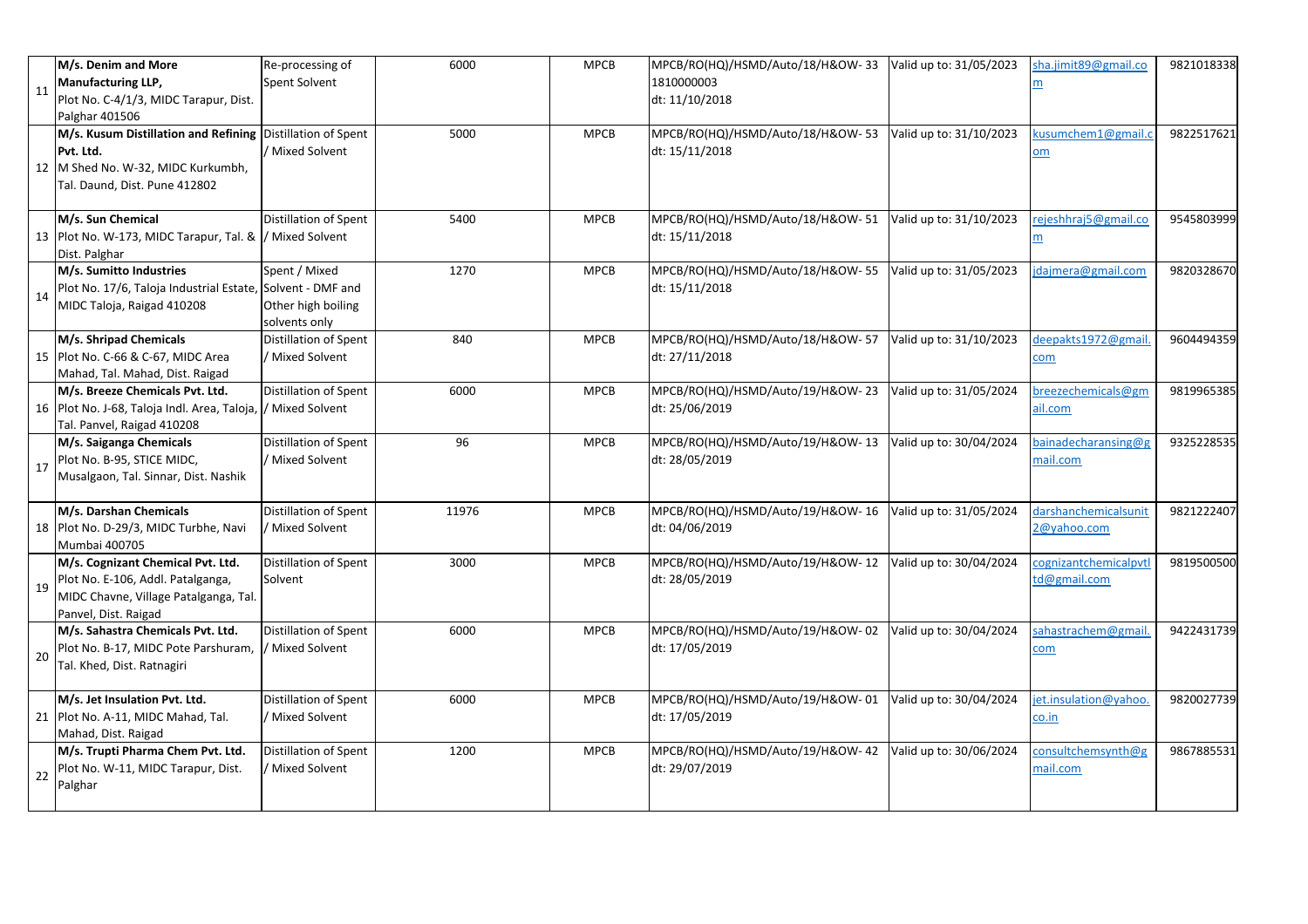|    | M/s. Denim and More                                                                                                                            | Re-processing of                                     | 6000  | <b>MPCB</b> | MPCB/RO(HQ)/HSMD/Auto/18/H&OW-33                   | Valid up to: 31/05/2023 | sha.jimit89@gmail.co                    | 9821018338 |
|----|------------------------------------------------------------------------------------------------------------------------------------------------|------------------------------------------------------|-------|-------------|----------------------------------------------------|-------------------------|-----------------------------------------|------------|
| 11 | <b>Manufacturing LLP,</b><br>Plot No. C-4/1/3, MIDC Tarapur, Dist.                                                                             | Spent Solvent                                        |       |             | 1810000003<br>dt: 11/10/2018                       |                         |                                         |            |
|    | Palghar 401506                                                                                                                                 |                                                      |       |             |                                                    |                         |                                         |            |
|    | M/s. Kusum Distillation and Refining Distillation of Spent<br>Pvt. Ltd.<br>12 M Shed No. W-32, MIDC Kurkumbh,<br>Tal. Daund, Dist. Pune 412802 | Mixed Solvent                                        | 5000  | <b>MPCB</b> | MPCB/RO(HQ)/HSMD/Auto/18/H&OW-53<br>dt: 15/11/2018 | Valid up to: 31/10/2023 | cusumchem1@gmail.c<br>om                | 9822517621 |
|    | M/s. Sun Chemical<br>13 Plot No. W-173, MIDC Tarapur, Tal. &  / Mixed Solvent<br>Dist. Palghar                                                 | Distillation of Spent                                | 5400  | <b>MPCB</b> | MPCB/RO(HQ)/HSMD/Auto/18/H&OW-51<br>dt: 15/11/2018 | Valid up to: 31/10/2023 | rejeshhraj5@gmail.co<br>$\underline{m}$ | 9545803999 |
| 14 | M/s. Sumitto Industries<br>Plot No. 17/6, Taloja Industrial Estate, Solvent - DMF and<br>MIDC Taloja, Raigad 410208                            | Spent / Mixed<br>Other high boiling<br>solvents only | 1270  | <b>MPCB</b> | MPCB/RO(HQ)/HSMD/Auto/18/H&OW-55<br>dt: 15/11/2018 | Valid up to: 31/05/2023 | dajmera@gmail.com                       | 9820328670 |
|    | M/s. Shripad Chemicals<br>15 Plot No. C-66 & C-67, MIDC Area<br>Mahad, Tal. Mahad, Dist. Raigad                                                | Distillation of Spent<br>Mixed Solvent               | 840   | <b>MPCB</b> | MPCB/RO(HQ)/HSMD/Auto/18/H&OW-57<br>dt: 27/11/2018 | Valid up to: 31/10/2023 | deepakts1972@gmail.<br>com              | 9604494359 |
|    | M/s. Breeze Chemicals Pvt. Ltd.<br>16 Plot No. J-68, Taloja Indl. Area, Taloja,  / Mixed Solvent<br>Tal. Panvel, Raigad 410208                 | <b>Distillation of Spent</b>                         | 6000  | <b>MPCB</b> | MPCB/RO(HQ)/HSMD/Auto/19/H&OW-23<br>dt: 25/06/2019 | Valid up to: 31/05/2024 | oreezechemicals@gm<br>ail.com           | 9819965385 |
| 17 | M/s. Saiganga Chemicals<br>Plot No. B-95, STICE MIDC,<br>Musalgaon, Tal. Sinnar, Dist. Nashik                                                  | Distillation of Spent<br>/ Mixed Solvent             | 96    | <b>MPCB</b> | MPCB/RO(HQ)/HSMD/Auto/19/H&OW-13<br>dt: 28/05/2019 | Valid up to: 30/04/2024 | bainadecharansing@g<br>mail.com         | 9325228535 |
|    | M/s. Darshan Chemicals<br>18 Plot No. D-29/3, MIDC Turbhe, Navi<br>Mumbai 400705                                                               | Distillation of Spent<br>Mixed Solvent               | 11976 | <b>MPCB</b> | MPCB/RO(HQ)/HSMD/Auto/19/H&OW-16<br>dt: 04/06/2019 | Valid up to: 31/05/2024 | darshanchemicalsunit<br>2@yahoo.com     | 9821222407 |
| 19 | M/s. Cognizant Chemical Pvt. Ltd.<br>Plot No. E-106, Addl. Patalganga,<br>MIDC Chavne, Village Patalganga, Tal.<br>Panvel, Dist. Raigad        | Distillation of Spent<br>Solvent                     | 3000  | <b>MPCB</b> | MPCB/RO(HQ)/HSMD/Auto/19/H&OW-12<br>dt: 28/05/2019 | Valid up to: 30/04/2024 | cognizantchemicalpytl<br>td@gmail.com   | 9819500500 |
| 20 | M/s. Sahastra Chemicals Pvt. Ltd.<br>Plot No. B-17, MIDC Pote Parshuram,<br>Tal. Khed, Dist. Ratnagiri                                         | Distillation of Spent<br>/ Mixed Solvent             | 6000  | <b>MPCB</b> | MPCB/RO(HQ)/HSMD/Auto/19/H&OW-02<br>dt: 17/05/2019 | Valid up to: 30/04/2024 | ahastrachem@gmail.<br><u>com</u>        | 9422431739 |
|    | M/s. Jet Insulation Pvt. Ltd.<br>21 Plot No. A-11, MIDC Mahad, Tal.<br>Mahad, Dist. Raigad                                                     | Distillation of Spent<br>/ Mixed Solvent             | 6000  | <b>MPCB</b> | MPCB/RO(HQ)/HSMD/Auto/19/H&OW-01<br>dt: 17/05/2019 | Valid up to: 30/04/2024 | et.insulation@yahoo.<br>co.in           | 9820027739 |
| 22 | M/s. Trupti Pharma Chem Pvt. Ltd.<br>Plot No. W-11, MIDC Tarapur, Dist.<br>Palghar                                                             | <b>Distillation of Spent</b><br>/ Mixed Solvent      | 1200  | <b>MPCB</b> | MPCB/RO(HQ)/HSMD/Auto/19/H&OW-42<br>dt: 29/07/2019 | Valid up to: 30/06/2024 | consultchemsynth@g<br>mail.com          | 9867885531 |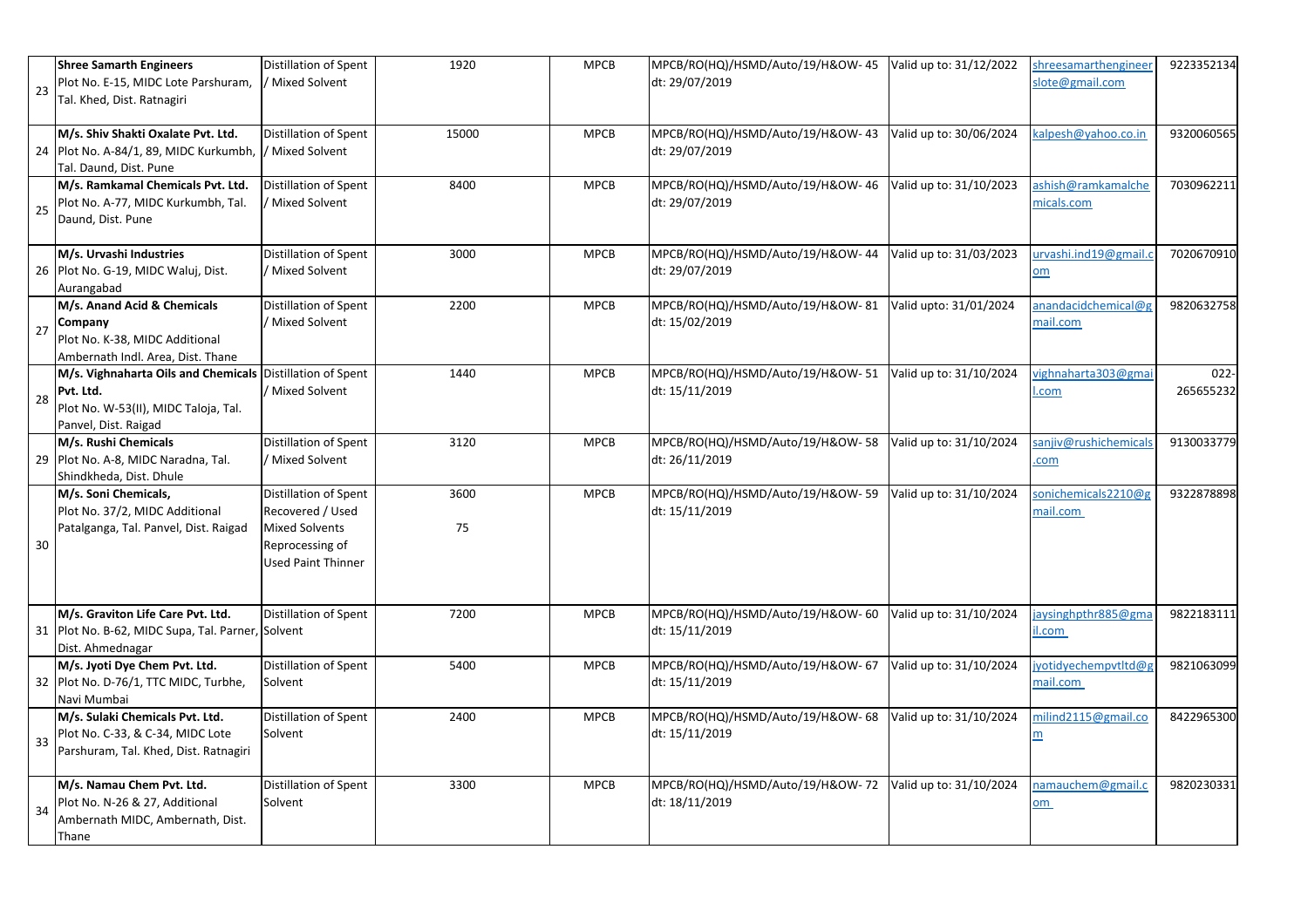| 23 | <b>Shree Samarth Engineers</b><br>Plot No. E-15, MIDC Lote Parshuram,<br>Tal. Khed, Dist. Ratnagiri              | <b>Distillation of Spent</b><br>/ Mixed Solvent                                                                    | 1920       | <b>MPCB</b> | MPCB/RO(HQ)/HSMD/Auto/19/H&OW-45<br>dt: 29/07/2019 | Valid up to: 31/12/2022 | shreesamarthengineer<br>slote@gmail.com | 9223352134           |
|----|------------------------------------------------------------------------------------------------------------------|--------------------------------------------------------------------------------------------------------------------|------------|-------------|----------------------------------------------------|-------------------------|-----------------------------------------|----------------------|
|    | M/s. Shiv Shakti Oxalate Pvt. Ltd.<br>24 Plot No. A-84/1, 89, MIDC Kurkumbh,<br>Tal. Daund, Dist. Pune           | <b>Distillation of Spent</b><br>/ Mixed Solvent                                                                    | 15000      | <b>MPCB</b> | MPCB/RO(HQ)/HSMD/Auto/19/H&OW-43<br>dt: 29/07/2019 | Valid up to: 30/06/2024 | kalpesh@yahoo.co.in                     | 9320060565           |
| 25 | M/s. Ramkamal Chemicals Pvt. Ltd.<br>Plot No. A-77, MIDC Kurkumbh, Tal.<br>Daund, Dist. Pune                     | Distillation of Spent<br>Mixed Solvent                                                                             | 8400       | <b>MPCB</b> | MPCB/RO(HQ)/HSMD/Auto/19/H&OW-46<br>dt: 29/07/2019 | Valid up to: 31/10/2023 | ashish@ramkamalche<br>micals.com        | 7030962211           |
|    | M/s. Urvashi Industries<br>26 Plot No. G-19, MIDC Waluj, Dist.<br>Aurangabad                                     | <b>Distillation of Spent</b><br>Mixed Solvent                                                                      | 3000       | <b>MPCB</b> | MPCB/RO(HQ)/HSMD/Auto/19/H&OW-44<br>dt: 29/07/2019 | Valid up to: 31/03/2023 | urvashi.ind19@gmail.c<br>om             | 7020670910           |
| 27 | M/s. Anand Acid & Chemicals<br>Company<br>Plot No. K-38, MIDC Additional<br>Ambernath Indl. Area, Dist. Thane    | <b>Distillation of Spent</b><br>Mixed Solvent                                                                      | 2200       | <b>MPCB</b> | MPCB/RO(HQ)/HSMD/Auto/19/H&OW-81<br>dt: 15/02/2019 | Valid upto: 31/01/2024  | anandacidchemical@g<br>mail.com         | 9820632758           |
| 28 | M/s. Vighnaharta Oils and Chemicals<br>Pvt. Ltd.<br>Plot No. W-53(II), MIDC Taloja, Tal.<br>Panvel, Dist. Raigad | <b>Distillation of Spent</b><br>Mixed Solvent                                                                      | 1440       | <b>MPCB</b> | MPCB/RO(HQ)/HSMD/Auto/19/H&OW-51<br>dt: 15/11/2019 | Valid up to: 31/10/2024 | vighnaharta 303@gmai<br>.com            | $022 -$<br>265655232 |
|    | M/s. Rushi Chemicals<br>29 Plot No. A-8, MIDC Naradna, Tal.<br>Shindkheda, Dist. Dhule                           | Distillation of Spent<br>Mixed Solvent                                                                             | 3120       | <b>MPCB</b> | MPCB/RO(HQ)/HSMD/Auto/19/H&OW-58<br>dt: 26/11/2019 | Valid up to: 31/10/2024 | sanjiv@rushichemicals<br>.com           | 9130033779           |
| 30 | M/s. Soni Chemicals,<br>Plot No. 37/2, MIDC Additional<br>Patalganga, Tal. Panvel, Dist. Raigad                  | Distillation of Spent<br>Recovered / Used<br><b>Mixed Solvents</b><br>Reprocessing of<br><b>Used Paint Thinner</b> | 3600<br>75 | <b>MPCB</b> | MPCB/RO(HQ)/HSMD/Auto/19/H&OW-59<br>dt: 15/11/2019 | Valid up to: 31/10/2024 | sonichemicals2210@g<br>mail.com         | 9322878898           |
|    | M/s. Graviton Life Care Pvt. Ltd.<br>31 Plot No. B-62, MIDC Supa, Tal. Parner, Solvent<br>Dist. Ahmednagar       | <b>Distillation of Spent</b>                                                                                       | 7200       | <b>MPCB</b> | MPCB/RO(HQ)/HSMD/Auto/19/H&OW-60<br>dt: 15/11/2019 | Valid up to: 31/10/2024 | aysinghpthr885@gma<br>il.com            | 9822183111           |
|    | M/s. Jyoti Dye Chem Pvt. Ltd.<br>32 Plot No. D-76/1, TTC MIDC, Turbhe,<br>Navi Mumbai                            | Distillation of Spent<br>Solvent                                                                                   | 5400       | <b>MPCB</b> | MPCB/RO(HQ)/HSMD/Auto/19/H&OW-67<br>dt: 15/11/2019 | Valid up to: 31/10/2024 | jyotidyechempvtltd@g<br>mail.com        | 9821063099           |
| 33 | M/s. Sulaki Chemicals Pvt. Ltd.<br>Plot No. C-33, & C-34, MIDC Lote<br>Parshuram, Tal. Khed, Dist. Ratnagiri     | Distillation of Spent<br>Solvent                                                                                   | 2400       | <b>MPCB</b> | MPCB/RO(HQ)/HSMD/Auto/19/H&OW-68<br>dt: 15/11/2019 | Valid up to: 31/10/2024 | milind2115@gmail.co<br>m                | 8422965300           |
| 34 | M/s. Namau Chem Pvt. Ltd.<br>Plot No. N-26 & 27, Additional<br>Ambernath MIDC, Ambernath, Dist.<br>Thane         | Distillation of Spent<br>Solvent                                                                                   | 3300       | <b>MPCB</b> | MPCB/RO(HQ)/HSMD/Auto/19/H&OW-72<br>dt: 18/11/2019 | Valid up to: 31/10/2024 | namauchem@gmail.c<br>om                 | 9820230331           |